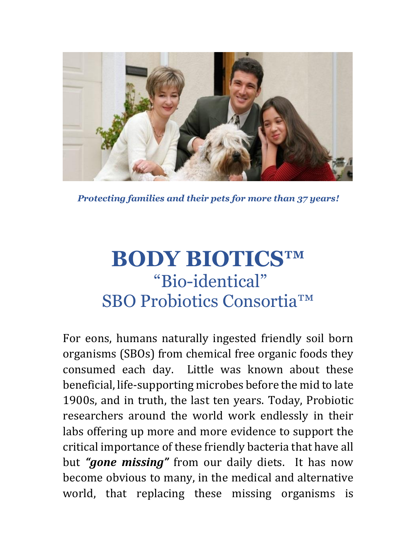

*Protecting families and their pets for more than 37 years!*

# **BODY BIOTICS™** "Bio-identical" SBO Probiotics Consortia™

For eons, humans naturally ingested friendly soil born organisms (SBOs) from chemical free organic foods they consumed each day. Little was known about these beneficial, life-supporting microbes before the mid to late 1900s, and in truth, the last ten years. Today, Probiotic researchers around the world work endlessly in their labs offering up more and more evidence to support the critical importance of these friendly bacteria that have all but *"gone missing"* from our daily diets. It has now become obvious to many, in the medical and alternative world, that replacing these missing organisms is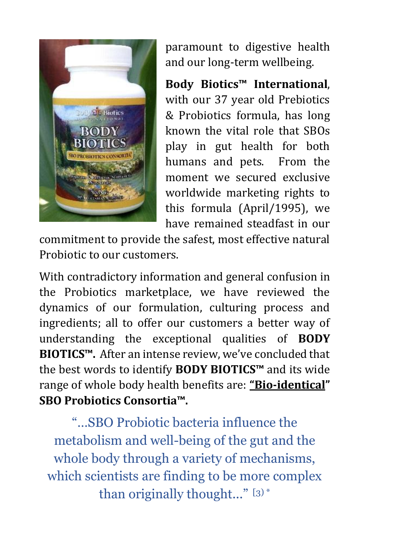

paramount to digestive health and our long-term wellbeing.

**Body Biotics™ International**, with our 37 year old Prebiotics & Probiotics formula, has long known the vital role that SBOs play in gut health for both humans and pets. From the moment we secured exclusive worldwide marketing rights to this formula (April/1995), we have remained steadfast in our

commitment to provide the safest, most effective natural Probiotic to our customers.

With contradictory information and general confusion in the Probiotics marketplace, we have reviewed the dynamics of our formulation, culturing process and ingredients; all to offer our customers a better way of understanding the exceptional qualities of **BODY BIOTICS™.** After an intense review, we've concluded that the best words to identify **BODY BIOTICS™** and its wide range of whole body health benefits are: **"Bio-identical" SBO Probiotics Consortia™.**

"…SBO Probiotic bacteria influence the metabolism and well-being of the gut and the whole body through a variety of mechanisms, which scientists are finding to be more complex than originally thought..." [3) \*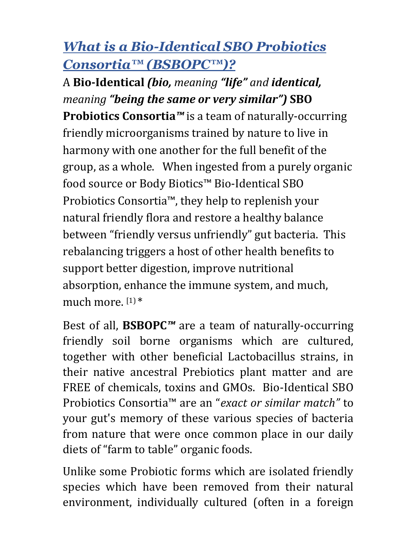# *What is a Bio-Identical SBO Probiotics Consortia™ (BSBOPC™)?*

A **Bio-Identical** *(bio, meaning "life" and identical, meaning "being the same or very similar")* **SBO Probiotics Consortia***™* is a team of naturally-occurring friendly microorganisms trained by nature to live in harmony with one another for the full benefit of the group, as a whole. When ingested from a purely organic food source or Body Biotics™ Bio-Identical SBO Probiotics Consortia™, they help to replenish your natural friendly flora and restore a healthy balance between "friendly versus unfriendly" gut bacteria. This rebalancing triggers a host of other health benefits to support better digestion, improve nutritional absorption, enhance the immune system, and much, much more.  $[1]*$ 

Best of all, **BSBOPC***™* are a team of naturally-occurring friendly soil borne organisms which are cultured, together with other beneficial Lactobacillus strains, in their native ancestral Prebiotics plant matter and are FREE of chemicals, toxins and GMOs. Bio-Identical SBO Probiotics Consortia™ are an "*exact or similar match"* to your gut's memory of these various species of bacteria from nature that were once common place in our daily diets of "farm to table" organic foods.

Unlike some Probiotic forms which are isolated friendly species which have been removed from their natural environment, individually cultured (often in a foreign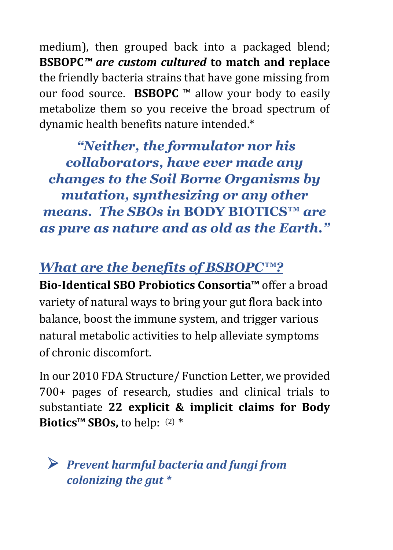medium), then grouped back into a packaged blend; **BSBOPC***™ are custom cultured* **to match and replace** the friendly bacteria strains that have gone missing from our food source. **BSBOPC** ™ allow your body to easily metabolize them so you receive the broad spectrum of dynamic health benefits nature intended.\*

*"Neither, the formulator nor his collaborators, have ever made any changes to the Soil Borne Organisms by mutation, synthesizing or any other means. The SBOs in* **BODY BIOTICS™** *are as pure as nature and as old as the Earth."*

# *What are the benefits of BSBOPC™?*

**Bio-Identical SBO Probiotics Consortia™** offer a broad variety of natural ways to bring your gut flora back into balance, boost the immune system, and trigger various natural metabolic activities to help alleviate symptoms of chronic discomfort.

In our 2010 FDA Structure/ Function Letter, we provided 700+ pages of research, studies and clinical trials to substantiate **22 explicit & implicit claims for Body Biotics™ SBOs,** to help: (2) \*

 *Prevent harmful bacteria and fungi from colonizing the gut \**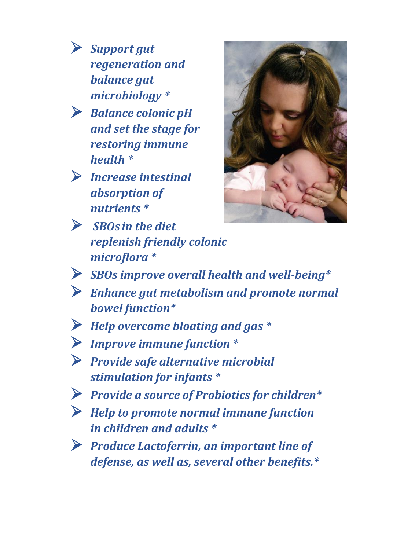- *Support gut regeneration and balance gut microbiology \**
- *Balance colonic pH and set the stage for restoring immune health \**
- *Increase intestinal absorption of nutrients \**
- *SBOs in the diet replenish friendly colonic microflora \**



- *SBOs improve overall health and well-being\**
- *Enhance gut metabolism and promote normal bowel function\**
- *Help overcome bloating and gas \**
- *Improve immune function \**
- *Provide safe alternative microbial stimulation for infants \**
- *Provide a source of Probiotics for children\**
- *Help to promote normal immune function in children and adults \**
- *Produce Lactoferrin, an important line of defense, as well as, several other benefits.\**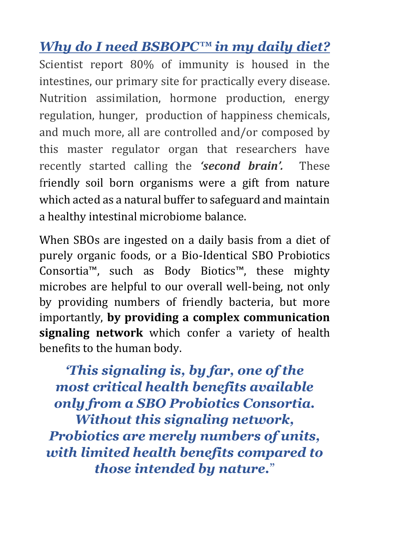*Why do I need BSBOPC™ in my daily diet?* Scientist report 80% of immunity is housed in the intestines, our primary site for practically every disease. Nutrition assimilation, hormone production, energy regulation, hunger, production of happiness chemicals, and much more, all are controlled and/or composed by this master regulator organ that researchers have recently started calling the *'second brain'.* These friendly soil born organisms were a gift from nature which acted as a natural buffer to safeguard and maintain a healthy intestinal microbiome balance.

When SBOs are ingested on a daily basis from a diet of purely organic foods, or a Bio-Identical SBO Probiotics Consortia™, such as Body Biotics™, these mighty microbes are helpful to our overall well-being, not only by providing numbers of friendly bacteria, but more importantly, **by providing a complex communication signaling network** which confer a variety of health benefits to the human body.

*'This signaling is, by far, one of the most critical health benefits available only from a SBO Probiotics Consortia. Without this signaling network, Probiotics are merely numbers of units,* 

*with limited health benefits compared to those intended by nature.*"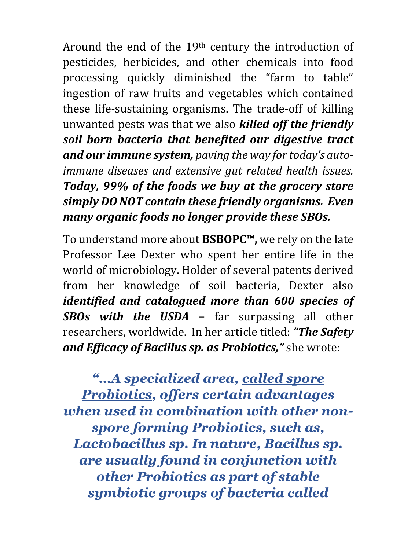Around the end of the 19th century the introduction of pesticides, herbicides, and other chemicals into food processing quickly diminished the "farm to table" ingestion of raw fruits and vegetables which contained these life-sustaining organisms. The trade-off of killing unwanted pests was that we also *killed off the friendly soil born bacteria that benefited our digestive tract and our immune system, paving the way for today's autoimmune diseases and extensive gut related health issues. Today, 99% of the foods we buy at the grocery store simply DO NOT contain these friendly organisms. Even many organic foods no longer provide these SBOs.*

To understand more about **BSBOPC™,** we rely on the late Professor Lee Dexter who spent her entire life in the world of microbiology. Holder of several patents derived from her knowledge of soil bacteria, Dexter also *identified and catalogued more than 600 species of SBOs with the USDA* − far surpassing all other researchers, worldwide. In her article titled: *"The Safety and Efficacy of Bacillus sp. as Probiotics,"* she wrote:

*"…A specialized area, called spore Probiotics, offers certain advantages when used in combination with other nonspore forming Probiotics, such as, Lactobacillus sp. In nature, Bacillus sp. are usually found in conjunction with other Probiotics as part of stable symbiotic groups of bacteria called*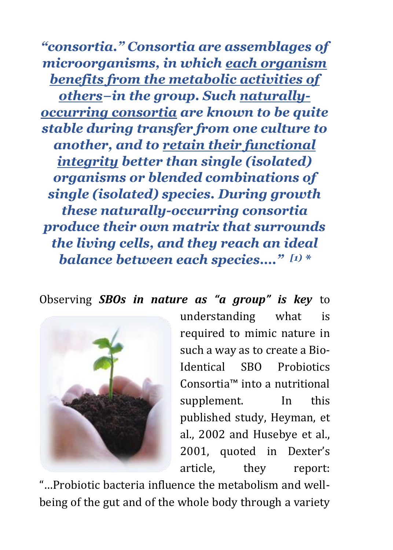*"consortia." Consortia are assemblages of microorganisms, in which each organism benefits from the metabolic activities of* 

*others−in the group. Such naturallyoccurring consortia are known to be quite stable during transfer from one culture to another, and to retain their functional integrity better than single (isolated) organisms or blended combinations of single (isolated) species. During growth these naturally-occurring consortia produce their own matrix that surrounds the living cells, and they reach an ideal balance between each species…." [1) \**

Observing *SBOs in nature as "a group" is key* to



understanding what is required to mimic nature in such a way as to create a Bio-Identical SBO Probiotics Consortia™ into a nutritional supplement. In this published study, Heyman, et al., 2002 and Husebye et al., 2001, quoted in Dexter's article, they report:

"…Probiotic bacteria influence the metabolism and wellbeing of the gut and of the whole body through a variety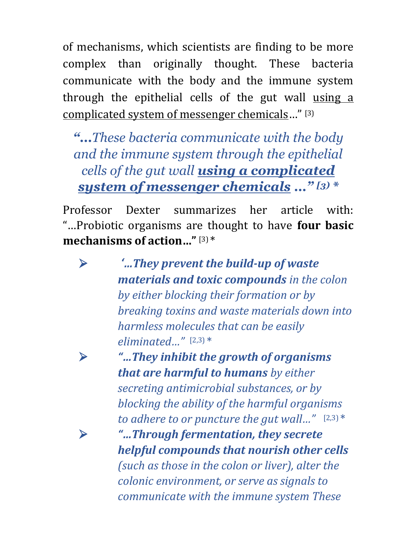of mechanisms, which scientists are finding to be more complex than originally thought. These bacteria communicate with the body and the immune system through the epithelial cells of the gut wall using a complicated system of messenger chemicals…" [3)

*"…These bacteria communicate with the body and the immune system through the epithelial cells of the gut wall using a complicated system of messenger chemicals …" [3) \**

Professor Dexter summarizes her article with: "…Probiotic organisms are thought to have **four basic mechanisms of action…"** [3) \*

 *'…They prevent the build-up of waste materials and toxic compounds in the colon by either blocking their formation or by breaking toxins and waste materials down into harmless molecules that can be easily eliminated…"* [2,3) \*

 *"…They inhibit the growth of organisms that are harmful to humans by either secreting antimicrobial substances, or by blocking the ability of the harmful organisms to adhere to or puncture the gut wall…"* [2,3) \* *"…Through fermentation, they secrete helpful compounds that nourish other cells (such as those in the colon or liver), alter the colonic environment, or serve as signals to communicate with the immune system These*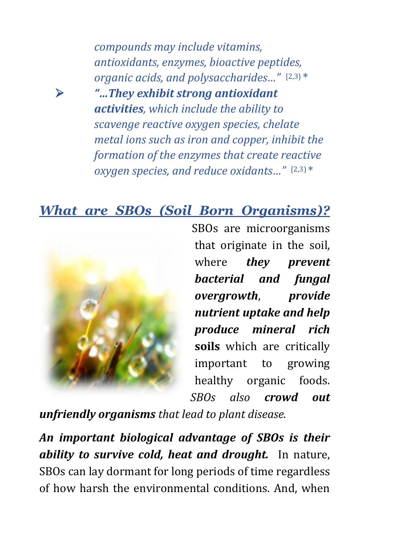*compounds may include vitamins, antioxidants, enzymes, bioactive peptides, organic acids, and polysaccharides…"* [2,3) \* *"…They exhibit strong antioxidant activities, which include the ability to scavenge reactive oxygen species, chelate metal ions such as iron and copper, inhibit the formation of the enzymes that create reactive oxygen species, and reduce oxidants…"* [2,3) \*

## *What are SBOs (Soil Born Organisms)?*



SBOs are microorganisms that originate in the soil, where *they prevent bacterial and fungal overgrowth*, *provide nutrient uptake and help produce mineral rich* **soils** which are critically important to growing healthy organic foods. *SBOs also crowd out* 

*unfriendly organisms that lead to plant disease.*

*An important biological advantage of SBOs is their ability to survive cold, heat and drought.* In nature, SBOs can lay dormant for long periods of time regardless of how harsh the environmental conditions. And, when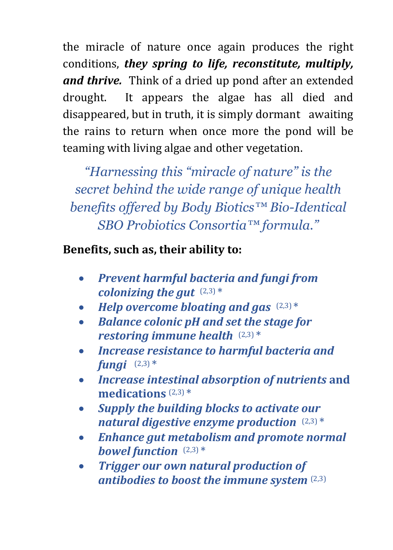the miracle of nature once again produces the right conditions, *they spring to life, reconstitute, multiply, and thrive.* Think of a dried up pond after an extended drought. It appears the algae has all died and disappeared, but in truth, it is simply dormant awaiting the rains to return when once more the pond will be teaming with living algae and other vegetation.

*"Harnessing this "miracle of nature" is the secret behind the wide range of unique health benefits offered by Body Biotics™ Bio-Identical SBO Probiotics Consortia™ formula."*

#### **Benefits, such as, their ability to:**

- *Prevent harmful bacteria and fungi from colonizing the gut*  $(2,3)$  \*
- Help overcome bloating and gas  $(2,3)$ <sup>\*</sup>
- *Balance colonic pH and set the stage for restoring immune health* (2,3) \*
- *Increase resistance to harmful bacteria and fungi* (2,3) \*
- *Increase intestinal absorption of nutrients* **and medications** (2,3) \*
- *Supply the building blocks to activate our natural digestive enzyme production* (2,3) \*
- *Enhance gut metabolism and promote normal bowel function* (2,3) \*
- *Trigger our own natural production of antibodies to boost the immune system* (2,3)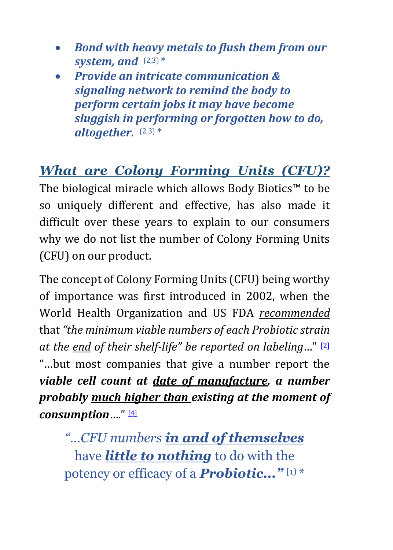- *Bond with heavy metals to flush them from our system, and* (2,3) \*
- *Provide an intricate communication & signaling network to remind the body to perform certain jobs it may have become sluggish in performing or forgotten how to do, altogether.* (2,3) \*

# *What are Colony Forming Units (CFU)?*

The biological miracle which allows Body Biotics™ to be so uniquely different and effective, has also made it difficult over these years to explain to our consumers why we do not list the number of Colony Forming Units (CFU) on our product.

The concept of Colony Forming Units (CFU) being worthy of importance was first introduced in 2002, when the [World Health Organization](http://en.wikipedia.org/wiki/World_Health_Organization) and US [FDA](http://en.wikipedia.org/wiki/Food_and_Drug_Administration) *recommended* that *"the minimum viable numbers of each Probiotic strain at the end of their shelf-life" be reported on labeling*…" [\[2\]](http://en.wikipedia.org/wiki/Gut_flora#cite_note-Guarner_and_Malagelada_2003b-3) "…but most companies that give a number report the *viable cell count at date of manufacture, a number probably much higher than existing at the moment of consumption*…." [\[4\]](http://en.wikipedia.org/wiki/Gut_flora#cite_note-Guarner_and_Malagelada_2003b-3)

*"…CFU numbers in and of themselves*  have *little to nothing* to do with the potency or efficacy of a *Probiotic..."* [1) \*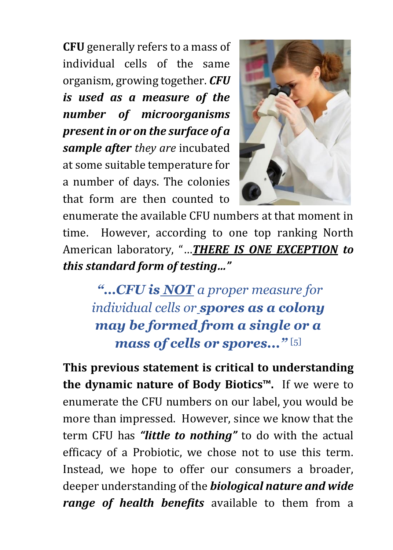**CFU** generally refers to a mass of individual cells of the same organism, growing together. *CFU is used as a measure of the number of microorganisms present in or on the surface of a sample after they are* incubated at some suitable temperature for a number of days. The colonies that form are then counted to



enumerate the available CFU numbers at that moment in time. However, according to one top ranking North American laboratory, "…*THERE IS ONE EXCEPTION to this standard form of testing…"* 

*"…CFU is NOT a proper measure for individual cells or spores as a colony may be formed from a single or a mass of cells or spores..."* [\[5\]](http://en.wikipedia.org/wiki/Gut_flora#cite_note-Guarner_and_Malagelada_2003b-3)

**This previous statement is critical to understanding the dynamic nature of Body Biotics™.** If we were to enumerate the CFU numbers on our label, you would be more than impressed. However, since we know that the term CFU has *"little to nothing"* to do with the actual efficacy of a Probiotic, we chose not to use this term. Instead, we hope to offer our consumers a broader, deeper understanding of the *biological nature and wide range of health benefits* available to them from a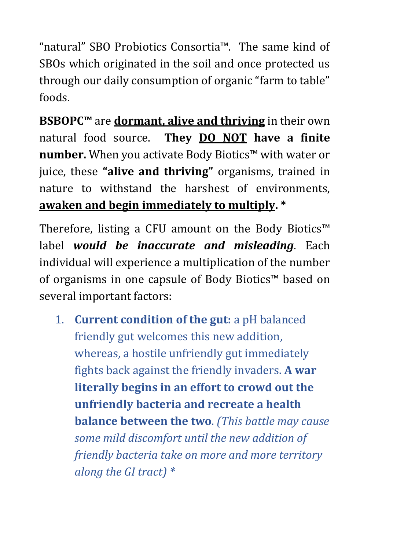"natural" SBO Probiotics Consortia™. The same kind of SBOs which originated in the soil and once protected us through our daily consumption of organic "farm to table" foods.

**BSBOPC™** are **dormant, alive and thriving** in their own natural food source. **They DO NOT have a finite number.** When you activate Body Biotics™ with water or juice, these **"alive and thriving"** organisms, trained in nature to withstand the harshest of environments, **awaken and begin immediately to multiply. \***

Therefore, listing a CFU amount on the Body Biotics™ label *would be inaccurate and misleading*. Each individual will experience a multiplication of the number of organisms in one capsule of Body Biotics™ based on several important factors:

1. **Current condition of the gut:** a pH balanced friendly gut welcomes this new addition, whereas, a hostile unfriendly gut immediately fights back against the friendly invaders. **A war literally begins in an effort to crowd out the unfriendly bacteria and recreate a health balance between the two**. *(This battle may cause some mild discomfort until the new addition of friendly bacteria take on more and more territory along the GI tract) \**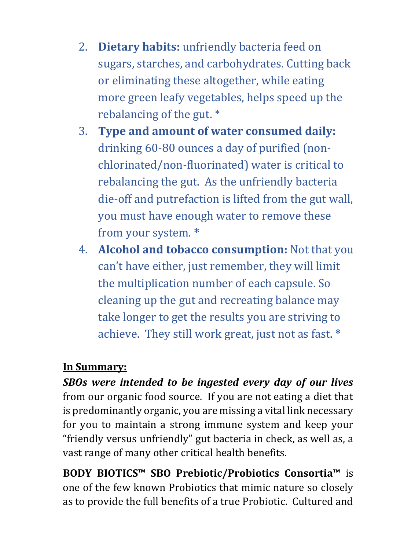- 2. **Dietary habits:** unfriendly bacteria feed on sugars, starches, and carbohydrates. Cutting back or eliminating these altogether, while eating more green leafy vegetables, helps speed up the rebalancing of the gut. \*
- 3. **Type and amount of water consumed daily:** drinking 60-80 ounces a day of purified (nonchlorinated/non-fluorinated) water is critical to rebalancing the gut. As the unfriendly bacteria die-off and putrefaction is lifted from the gut wall, you must have enough water to remove these from your system. **\***
- 4. **Alcohol and tobacco consumption:** Not that you can't have either, just remember, they will limit the multiplication number of each capsule. So cleaning up the gut and recreating balance may take longer to get the results you are striving to achieve. They still work great, just not as fast. **\***

#### **In Summary:**

*SBOs were intended to be ingested every day of our lives*  from our organic food source. If you are not eating a diet that is predominantly organic, you are missing a vital link necessary for you to maintain a strong immune system and keep your "friendly versus unfriendly" gut bacteria in check, as well as, a vast range of many other critical health benefits.

**BODY BIOTICS™ SBO Prebiotic/Probiotics Consortia™** is one of the few known Probiotics that mimic nature so closely as to provide the full benefits of a true Probiotic. Cultured and